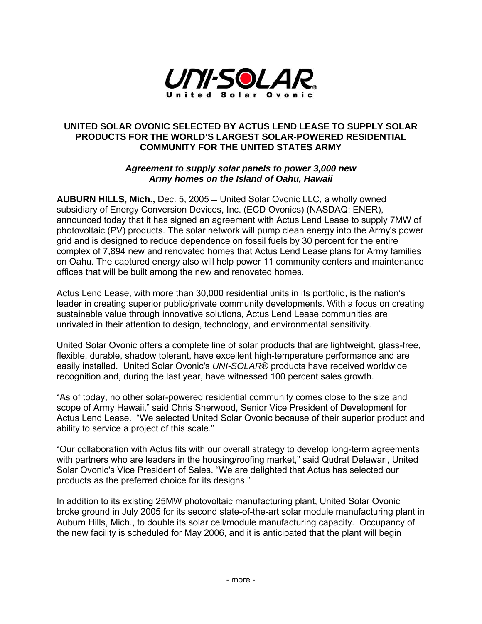

## **UNITED SOLAR OVONIC SELECTED BY ACTUS LEND LEASE TO SUPPLY SOLAR PRODUCTS FOR THE WORLD'S LARGEST SOLAR-POWERED RESIDENTIAL COMMUNITY FOR THE UNITED STATES ARMY**

## *Agreement to supply solar panels to power 3,000 new Army homes on the Island of Oahu, Hawaii*

**AUBURN HILLS, Mich.,** Dec. 5, 2005 United Solar Ovonic LLC, a wholly owned subsidiary of Energy Conversion Devices, Inc. (ECD Ovonics) (NASDAQ: ENER), announced today that it has signed an agreement with Actus Lend Lease to supply 7MW of photovoltaic (PV) products. The solar network will pump clean energy into the Army's power grid and is designed to reduce dependence on fossil fuels by 30 percent for the entire complex of 7,894 new and renovated homes that Actus Lend Lease plans for Army families on Oahu. The captured energy also will help power 11 community centers and maintenance offices that will be built among the new and renovated homes.

Actus Lend Lease, with more than 30,000 residential units in its portfolio, is the nation's leader in creating superior public/private community developments. With a focus on creating sustainable value through innovative solutions, Actus Lend Lease communities are unrivaled in their attention to design, technology, and environmental sensitivity.

United Solar Ovonic offers a complete line of solar products that are lightweight, glass-free, flexible, durable, shadow tolerant, have excellent high-temperature performance and are easily installed. United Solar Ovonic's *UNI-SOLAR*® products have received worldwide recognition and, during the last year, have witnessed 100 percent sales growth.

"As of today, no other solar-powered residential community comes close to the size and scope of Army Hawaii," said Chris Sherwood, Senior Vice President of Development for Actus Lend Lease. "We selected United Solar Ovonic because of their superior product and ability to service a project of this scale."

"Our collaboration with Actus fits with our overall strategy to develop long-term agreements with partners who are leaders in the housing/roofing market," said Qudrat Delawari, United Solar Ovonic's Vice President of Sales. "We are delighted that Actus has selected our products as the preferred choice for its designs."

In addition to its existing 25MW photovoltaic manufacturing plant, United Solar Ovonic broke ground in July 2005 for its second state-of-the-art solar module manufacturing plant in Auburn Hills, Mich., to double its solar cell/module manufacturing capacity. Occupancy of the new facility is scheduled for May 2006, and it is anticipated that the plant will begin